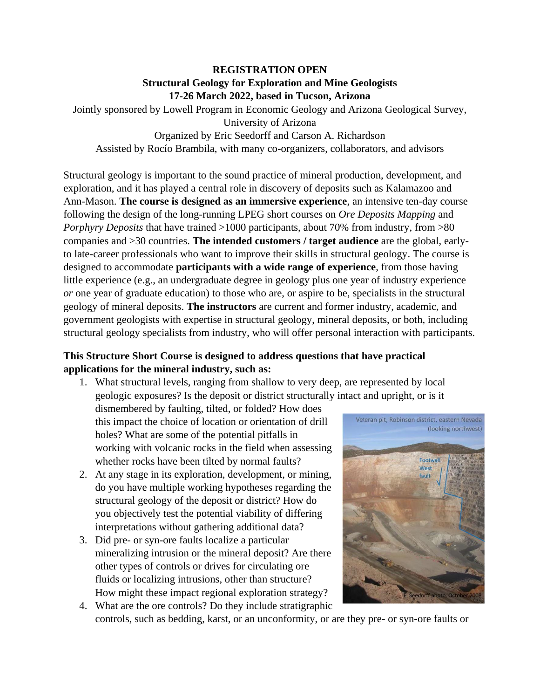## **REGISTRATION OPEN Structural Geology for Exploration and Mine Geologists 17-26 March 2022, based in Tucson, Arizona**

Jointly sponsored by Lowell Program in Economic Geology and Arizona Geological Survey, University of Arizona

Organized by Eric Seedorff and Carson A. Richardson Assisted by Rocío Brambila, with many co-organizers, collaborators, and advisors

Structural geology is important to the sound practice of mineral production, development, and exploration, and it has played a central role in discovery of deposits such as Kalamazoo and Ann-Mason. **The course is designed as an immersive experience**, an intensive ten-day course following the design of the long-running LPEG short courses on *Ore Deposits Mapping* and *Porphyry Deposits* that have trained >1000 participants, about 70% from industry, from >80 companies and >30 countries. **The intended customers / target audience** are the global, earlyto late-career professionals who want to improve their skills in structural geology. The course is designed to accommodate **participants with a wide range of experience**, from those having little experience (e.g., an undergraduate degree in geology plus one year of industry experience *or* one year of graduate education) to those who are, or aspire to be, specialists in the structural geology of mineral deposits. **The instructors** are current and former industry, academic, and government geologists with expertise in structural geology, mineral deposits, or both, including structural geology specialists from industry, who will offer personal interaction with participants.

## **This Structure Short Course is designed to address questions that have practical applications for the mineral industry, such as:**

1. What structural levels, ranging from shallow to very deep, are represented by local geologic exposures? Is the deposit or district structurally intact and upright, or is it

dismembered by faulting, tilted, or folded? How does this impact the choice of location or orientation of drill holes? What are some of the potential pitfalls in working with volcanic rocks in the field when assessing whether rocks have been tilted by normal faults?

- 2. At any stage in its exploration, development, or mining, do you have multiple working hypotheses regarding the structural geology of the deposit or district? How do you objectively test the potential viability of differing interpretations without gathering additional data?
- 3. Did pre- or syn-ore faults localize a particular mineralizing intrusion or the mineral deposit? Are there other types of controls or drives for circulating ore fluids or localizing intrusions, other than structure? How might these impact regional exploration strategy? 4. What are the ore controls? Do they include stratigraphic



controls, such as bedding, karst, or an unconformity, or are they pre- or syn-ore faults or